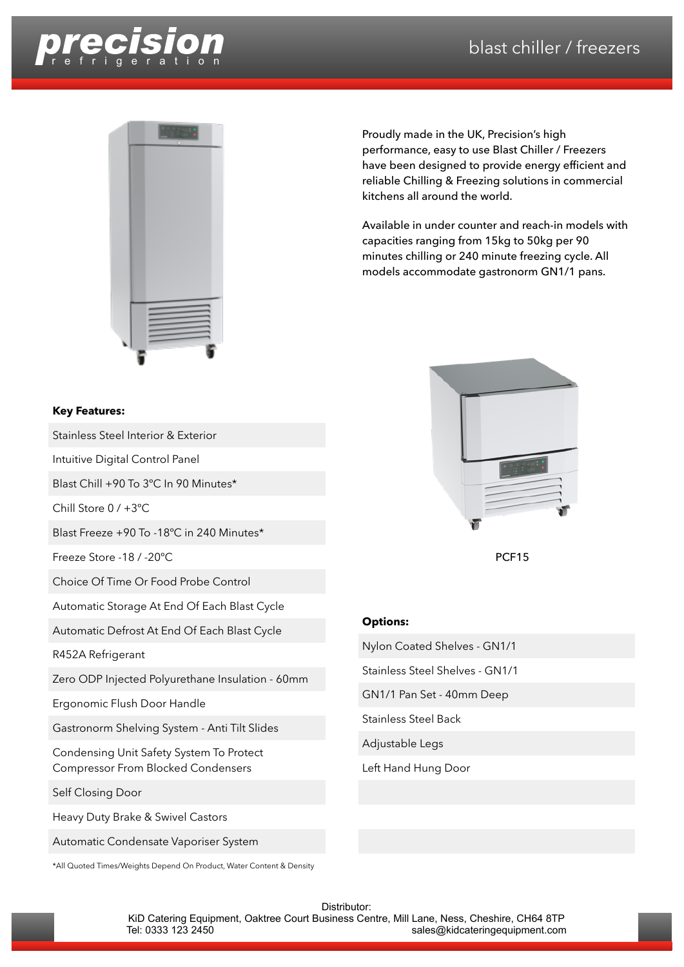



## performance, easy to use Blast Chiller / Freezers have been designed to provide energy efficient and reliable Chilling & Freezing solutions in commercial kitchens all around the world.

Proudly made in the UK, Precision's high

Available in under counter and reach-in models with capacities ranging from 15kg to 50kg per 90 minutes chilling or 240 minute freezing cycle. All models accommodate gastronorm GN1/1 pans.



PCF15

## **Options:**

Nylon Coated Shelves - GN1/1

Stainless Steel Shelves - GN1/1

GN1/1 Pan Set - 40mm Deep

Stainless Steel Back

Adjustable Legs

Left Hand Hung Door

## **Key Features:**

Stainless Steel Interior & Exterior

Intuitive Digital Control Panel

Blast Chill +90 To 3ºC In 90 Minutes\*

Chill Store 0 / +3ºC

Blast Freeze +90 To -18ºC in 240 Minutes\*

Freeze Store -18 / -20ºC

Choice Of Time Or Food Probe Control

Automatic Storage At End Of Each Blast Cycle

Automatic Defrost At End Of Each Blast Cycle

R452A Refrigerant

Zero ODP Injected Polyurethane Insulation - 60mm

Ergonomic Flush Door Handle

Gastronorm Shelving System - Anti Tilt Slides

Condensing Unit Safety System To Protect Compressor From Blocked Condensers

Self Closing Door

Heavy Duty Brake & Swivel Castors

Automatic Condensate Vaporiser System

\*All Quoted Times/Weights Depend On Product, Water Content & Density

Distributor:

KiD Catering Equipment, Oaktree Court Business Centre, Mill Lane, Ness, Cheshire, CH64 8TP<br>sales@kidcateringequipment.com sales@kidcateringequipment.com